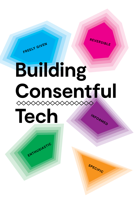**FREELY GIVEN**

**ENTHUSIASTIC**



**SPECIFIC**

# **INFORMED Building Consentful Tech**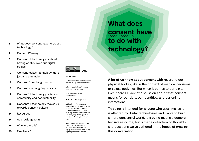- **3** What does consent have to do with technology?
- **4** Content Warning
- **5** Consentful technology is about having control over our digital bodies
- **10** Consent makes technology more just and equitable
- **14** Consent from the ground up
- **17** Consent is an ongoing process
- **19** Consentful technology relies on community and accountability
- **23** Consentful technology moves us towards consent culture
- **24** Resources
- **24** Acknowledgments
- **25** Who wrote this?
- **25** Feedback?



#### **You are free to:**

Share — copy and redistribute the material in any medium or format

Adapt — remix, transform, and build upon the material

for any purpose, even commercially.

#### **Under the following terms:**

Attribution — You must give appropriate credit, provide a link to the license, and indicate if changes were made. You may do so in any reasonable manner, but not in any way that suggests the licensor endorses you or your use.

No additional restrictions — You may not apply legal terms or technological measures that legally restrict others from doing anything the license permits.

**What does consent have to do with technology?**

**A lot of us know about consent** with regard to our physical bodies, like in the context of medical decisions or sexual activities. But when it comes to our digital lives, there's a lack of discussion about what consent means for our data, our identities, and our online interactions.

This zine is intended for anyone who uses, makes, or is affected by digital technologies and wants to build a more consentful world. It is by no means a comprehensive resource, but rather a collection of thoughts and questions we've gathered in the hopes of growing this conversation.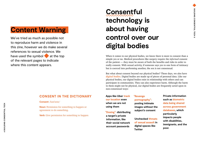### **Content Warning**

We've tried as much as possible not to reproduce harm and violence in this zine, however we do make several references to sexual violence. We have used the symbol  $\bullet$  at the top of the relevant pages to indicate where this content appears.

#### **CONSENT IN THE DICTIONARY**

#### **Consent** /kən'sent/

**Noun:** Permission for something to happen or agreement to do something.

**Verb:** Give permission for something to happen

## **Consentful technology is about having control over our digital bodies**

When it comes to our physical bodies, we know there is more to consent than a simple yes or no. Medical procedures like surgery require the *informed* consent of the patient — they must be aware of both the benefits and risks in order to really consent. With sexual activity, if someone says yes to one form of intimacy but is coerced into performing another, the sex is not consensual.

But what about consent beyond our physical bodies? These days, we also have *digital bodies*. Digital bodies are made up of pieces of personal data. Like our physical bodies, our digital bodies exist in relationship with others and can participate in communities. They can also experience harm. Although the harm to them might not be physical, our digital bodies are frequently acted upon in non-consensual ways:

**Apps like Uber track our location even when we are not using them**

**"Doxing": distributing a target's private information, like their social network account passwords**

### **"Revenge**

#### **pornography":**

**posting intimate images without the subject's consent**

**Unchecked threats of sexual assault in digital spaces like Twitter**

#### **Private information such as biometric data being shared across government databases, which particularly impacts people**

**with disabilities, immigrants, and the poor.**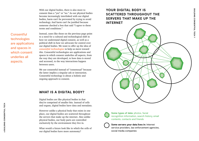With our digital bodies, there is also more to consent than a "yes" or "no." As our physical bodies become increasingly interlinked with our digital bodies, harm can't be prevented by trying to avoid technology. And harm can't be justified because someone checked a box that said "I agree to these terms and conditions."

**Consentful** technologies are applications and spaces in which consent underlies all aspects.

Instead, cases like those on the previous page point to a need for a cultural and technological shift in how we understand digital consent, as well as a political shift in how we advocate for control over our digital bodies. We want to offer up the idea of *consentful technologies* to help us move toward this. Consentful technologies are applications and spaces in which consent underlies all aspects, from the way they are developed, to how data is stored and accessed, to the way interactions happen between users.

We use consentful instead of "consensual" because the latter implies a singular ask or interaction. Consentful technology is about a holistic and ongoing approach to consent.

#### **WHAT IS A DIGITAL BODY?**

Digital bodies are like physical bodies in that they're comprised of smaller bits. Instead of cells and organs, digital bodies have data and metadata.

However unlike a physical body that exists in one place, our digital bodies are scattered throughout the servers that make up the internet. Also unlike physical bodies, our body parts are controlled exclusively by the environment they live in.

What would a future look like in which the cells of our digital bodies have more autonomy?

### **YOUR DIGITAL BODY IS SCATTERED THROUGHOUT THE SERVERS THAT MAKE UP THE**





Some types of data: photos, facial recognition information, search history, email contents, contacts and friends



**Some servers your data lives in:** Internet service providers, law enforcement agencies, social media companies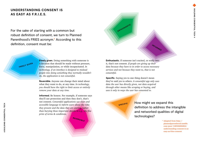#### **UNDERSTANDING CONSENT IS AS EASY AS F.R.I.E.S.**

**FREELY GIVEN**

For the sake of starting with a common but robust definition of consent, we turn to Planned Parenthood's FRIES acronym.\* According to this definition, consent must be: **Internal of the consent must be:** *INFORMED* 

> **Freely given.** Doing something with someone is a decision that should be made without pressure, force, manipulation, or while incapacitated. *In technology, if an interface is designed to mislead people into doing something they normally wouldn't do, the application is not consentful.*

**Reversible.** Anyone can change their mind about what they want to do, at any time. *In technology, you should have the right to limit access or entirely remove your data at any time.*

**Informed.** Be honest. For example, if someone says they'll use protection and then they don't, that's not consent. *Consentful applications use clear and accessible language to inform users about the risks they present and the data they are storing, rather than burying these important details in e.g., the fine print of terms & conditions.*

**REVERSIBLE**

**Enthusiastic.** If someone isn't excited, or really into it, that's not consent. *If people are giving up their data because they have to in order to access necessary services and not because they want to, that is not consentful.*

**Specific.** Saying yes to one thing doesn't mean they've said yes to others. *A consentful app only uses data the user has directly given, not data acquired through other means like scraping or buying, and uses it only in ways the user has consented to.*

**SPECIFIC**

ENTHUSIASTI

How might we expand this definition to address the intangible and networked qualities of digital technologies?

> **\* Adapted from http:// plannedparenthood.tumblr. com/post/148506806862/ understanding-consent-is-aseasy-as-fries-consent**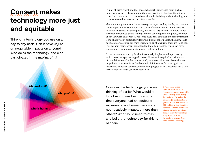### **Consent makes technology more just and equitable**

Think of a technology you use on a day to day basis. Can it have unjust or inequitable impacts on anyone? Who owns the technology, and who participates in the making of it?

**Who makes it?**

**Who profits?**

**Who is harmed?**

In a lot of cases, you'll find that those who might experience harm such as harassment or surveillance are not the owners of the technology. Sometimes there is overlap between those who work on the building of the technology and those who could be harmed, but often there isn't.

There are many ways to make technology more just and equitable, and consent is one important consideration. Non-consentful features and interactions can be minor nuisances for some people, but can be very harmful to others. When Facebook introduced photo tagging, anyone could tag you in a photo, whether or not you were okay with it. For some users, that could lead to embarrassment if the photo wasn't particularly flattering. But for other people, the harm could be much more serious. For trans users, tagging photos from their pre-transition lives without their consent could lead to them being outed, which can have consequences for employment, housing, safety, and more.

In response to user outcry, Facebook eventually implemented a process by which users can approve tagged photos. However, it required a critical mass of complaints to make this happen. And, Facebook still stores photos that are tagged with your face in its database, which informs its facial recognition algorithms. Whether you consented to being tagged or not, Facebook has a 98% accurate idea of what your face looks like.**<sup>1</sup>**

Consider the technology you were thinking of earlier. What would it look like if it was built to ensure that everyone had an equitable experience, and some users were not negatively impacted more than others? Who would need to own and build the technology for this to happen?

**1 Facebook's image recognition algorithms can "recognize human faces with 98% accuracy, even if they [aren't] directly facing the camera...[It can] identify a person in one picture out of 800 million in less than five seconds." 'Inside Facebook's Biggest Artificial Intelligent Project Ever,***' Fortune Magazine,* **April 13, 2016. http://fortune.com/facebook-machine-learning/**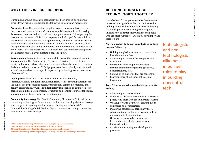#### **WHAT THIS ZINE BUILDS UPON BUILDING CONSENTFUL**

Our thinking around consentful technology has been shaped by numerous other ideas. This zine builds upon the following concepts and movements:

**Consent culture** The anti-violence against women movement has given us the concept of consent culture. Consent culture is "a culture in which asking for consent is normalized and condoned in popular culture. It is respecting the person's response even if it isn't the response you had hoped for. We will live in a consent culture when we no longer objectify people and we value them as human beings. Consent culture is believing that you and your partner(s) have the right over your own bodily autonomies and understanding that each of you know what is best for yourselves."**<sup>1</sup>** We believe that consentful technology has an important role to play in creating a consent culture.

**Design justice** Design justice is an approach to design that is rooted in equity and community. The Design Justice Network is "striving to create design practices that center those who stand to be most adversely impacted by design decisions in design processes."**<sup>2</sup>** Design processes that are led by and centered around people who can be unjustly impacted by technology are a cornerstone of consentful tech.

**Digital justice** According to the Detroit Digital Justice Coalition, "communication is a fundamental human right. We are securing that right for the digital age by promoting access, participation, common ownership, and healthy communities."**<sup>3</sup>** Consentful technology is modelled on equitable access, participation in the design process, ownership and control of our digital bodies, and communities based in consenting interactions.

**Community technology** The Detroit Community Technology Project defines community technology as "a method of teaching and learning about technology with the goal of restoring relationships and healing neighborhoods."**<sup>4</sup>** Consentful technology builds healthy digital communities through consenting interactions and relationships.

- **3 Detroit Digital Justice Coalition. http://detroitdjc.org/about/story/**
- **4 Detroit Community Technology Project,** *Teaching Community Technology Handbook***.**

## **TECHNOLOGIES TOGETHER**

It can be hard for people who aren't developers or investors to imagine how they can be involved in building consentful tech. It can also be challenging for the people who are making technology to imagine how to center their work around people who are most vulnerable. But we all have important roles to play.

**Non-technology folks can contribute to building consentful tech by:**

- Holding the platforms we use accountable to how they use our data
- Advocating for consent-focused policy and legislation
- Intervening in development processes through community organizing (petitions, demonstrations, etc.)
- Signing on to platforms that are consentful
- Learning more about code, policies, and legislation

#### **Tech folks can contribute to building consentful tech by:**

- Advocating for diverse teams
- Opening up design & development processes to people who those who are vulnerable to harm
- Working towards a culture of consent in our companies and organizations
- Mentoring newcomers, particularly those who are often excluded or marginalized from mainstream tech communities
- Growing our knowledge on concepts like collaborative design processes and intersectionality
- Consistently reviewing our development processes

**Technologists** and nontechnologists alike have important roles to play in building consentful tech.

**<sup>1</sup> Only with Consent. http://onlywithconsent.org/blog/consent-culture**

**<sup>2</sup> Design Justice Network. http://designjusticenetwork.org/**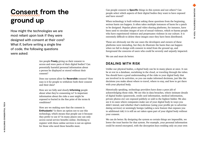## **Consent from the ground up**

How might the technologies we are most reliant upon look if they were designed with consent at their core? What if, before writing a single line of code, the following questions were asked:

> Are people **Freely** giving us their consent to access and store parts of their digital bodies? Can potentially harmful personal information about a person be displayed or stored without their consent?

Does our system allow for **Reversible** consent? How easy is it for people to withdraw both their consent and their data?

How are we fully and clearly **Informing** people about what they're consenting to? Is important information about the risks a user might be exposed to buried in the fine print of the terms & conditions?

How are we making sure that the consent is **Enthusiastic**? Is there an option not to use this technology, which means that people use it because they prefer to use it? In many places one can only access social service benefits online. Declining to register with these online services is not an option for those who need these benefits most.

Can people consent to **Specific** things in this system and not others? Can people select which aspects of their digital bodies they want to have exposed and have stored?

When technology is built without asking these questions from the beginning, serious harm can happen. It often takes multiple instances of harm for a patch to be designed. Popular photo and video sharing platforms, for instance, have been used to circulate images of acts of sexual violence, which re-harms people who have experienced violence and perpetuates violence in our culture. It is extremely difficult to delete these images once they have been distributed.

These are obviously not the use cases the developers and owners of these platforms were intending, but they do illustrate the harm that can happen when we fail to design with consent in mind from the ground up, and foreground the concerns of users who could be severely and unjustly impacted.

We can and must do better.

#### **DEALING WITH RISK**

Unlike our physical bodies, a digital body can be in many places at once. It can be at rest in a database, socializing in the cloud, or traveling through the tubes. You should have a good understanding of the risks to your digital body that are involved in its activities, so you can make informed decisions, just like the decisions you make about where to travel, where to stay, and how to get there with your physical body.

Historically speaking, technology providers have done a poor job of acknowledging those risks. We see this in data breaches, where intimate details of digital bodies (passwords, credit card information, medical information, private photos etc) are exposed publicly or sold to the highest bidder. We also see it in cases where companies make use of your digital body in ways you didn't intend, and whether that's malicious (using your profile pic to advertise dating services) or seemingly benign (adding a new feature that exposes you to additional risk) it is still an act taken upon part of your digital body without your consent.

We can do better. By designing the system so certain things are impossible, we lower the trust barrier for that system. For example, your personal information could be stored encrypted, with the decryption keys residing only on your own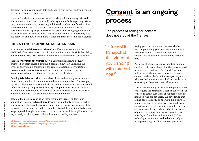devices. The application sends data and code to your device, and your consent is requested for each operation.

If we can't make it safer then we can acknowledge the remaining risks and educate users about them. Let's build industry standards for reporting risks at rest, in transit and during processing. Additional standards for functionalitybased risk would help too. This is a big problem: it requires software developers, industry groups, advocates and users all working together, and it starts by having this conversation. Let's talk about how risky it currently is to use software, and how we can make it safer and more accessible for everyone.

#### **IDEAS FOR TECHNICAL MECHANISMS**

A technique called **differential privacy<sup>1</sup>** provides a way to measure the likelihood of negative impact and also a way to introduce plausible deniability, which in many cases can dramatically reduce risk exposure for sensitive data.

Modern **encryption techniques** allow a user's information to be fully encrypted on their device, but using it becomes unwieldy. Balancing the levels of encryption is challenging, but can create strong safety guarantees. **Homomorphic encryption**<sup>2</sup> can allow certain types of processing or aggregation to happen without needing to decrypt the data.

Creating **falsifiable security** claims allows independent analysts to validate those claims, and invalidate them when they are compromised. For example, by using subresource integrity to lock the code on a web page, the browser will refuse to load any compromised code. By then publishing the code's hash in an immutable location, any compromise of the page is detectable easily (and automatically, with a service worker or external monitor).

Taken to their logical conclusion these techniques suggest building our applications in a more **decentralized<sup>3</sup>** way, which not only provides a higher bar for security, but also helps with scaling: if everyone is sharing some of the processing, the servers can do less work. In this model your digital body is no longer spread throughout servers on the internet; instead the applications come to you and you directly control how they interact with your data.

**1 https://www.cis.upenn.edu/~aaroth/Papers/privacybook.pdf 2 https://crypto.stanford.edu/craig/craig-thesis.pdf 3 http://scuttlebot.io**

### **Consent is an ongoing process**

The process of asking for consent does not stop at the first yes.

"Is it cool if I Snapchat this video of you dancing with that hot dog?"

Saying yes to an interaction once — whether it's a hug or linking your user account with your Facebook profile — should not imply that the consent was provided for an indefinite period of time.

Platforms like Google are incorporating periodic check-ins with users about what they've consented to, which is a good start. But Google's account holders aren't the only ones impacted by nonconsent on their platform: for example, anyone who has their name and email address added to an open Google Sheet has potential exposure.

This is because many of the technologies we rely on only require the consent of a user to the system, or of users to each other. What about people who are impacted who are not users? We have found that asking people directly, as one would in a physical interaction, is a strong practice. How might your experience of the Internet shift if people who had access to your digital body, whether in the form of photos or contact information, were to check in with you from time to time about it? What technologies would we need to build to help us manage ongoing and direct consent processes?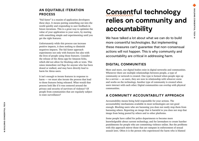#### **AN EQUITABLE ITERATION PROCESS**

"Fail faster" is a maxim of application developers these days. It means putting something out into the world quickly and responding to user feedback in future iterations. This is a great way to optimize the value of your application to your users, by starting with something simple and experimenting until you get the right features.

Unfortunately while this process can increase positive impacts, it does nothing to diminish negatives impacts. The fail faster approach experiments not only with features but also with the lives of people using those features. Consider the release of the Alexa app for Amazon Echo, which did not allow for blocking calls or texts. This raises immediate red flags for anyone who has been doxed or stalked, and may have directly lead to harm for Alexa users.

It isn't enough to iterate features in response to harm — we must also iterate the process that lead to those features being released. What would that process look like if it was centered around the privacy and security of survivors of violence? Of people from communities that are regularly subject to state surveillance?

## **Consentful technology relies on community and accountability**

We have talked a lot about what we can do to build more consentful technologies. But implementing these measures can't guarantee that non-consensual actions will not happen. This is why community and accountability are critical in addressing harm.

#### **DIGITAL COMMUNITIES**

More and more, our digital bodies exist in digital networks and communities. Whenever there are multiple relationships between people, a type of community or network is created. One type is formed when people sign up for a service — as users, they are now in relationship with whoever owns and works on the technology. Another type of community is created when users interact with each other. Digital communities can overlap with physical communities.

#### **A COMMUNITY ACCOUNTABILITY APPROACH**

Accountability means being held responsible for your actions. The accountability mechanisms available in most technologies are not good enough. Blocking users who are harassing you does not easily stop them from harassing others. Reporting an image that is harmful to you does not stop that image from being posted by others and to other platforms.

Some people have called for police departments to become more knowledgeable about current technology, and for lawmakers to create harsher punishments for people who are committing violence online. But the problems with this approach mirror those that are rampant in enforcement of sexual assault laws. Often it is the person who experienced the harm who is blamed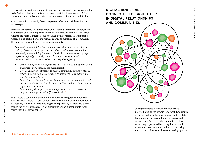— why did you send nude photos to your ex, or why didn't you just ignore that troll? And, for Black and Indigenous people, racialized immigrants, LGBTQ people and more, police and prisons are key vectors of violence in daily life.

What if we built community-based responses to harm and violence into our technologies?

When we act harmfully against others, whether it is intentional or not, there is an impact on both that person and the community as a whole. This is true whether the harm is interpersonal or caused by algorithms. So we must be responsible to each other as individuals as well as members of a community. This is what is meant by community accountability.

*Community accountability is a community-based strategy, rather than a police/prison-based strategy, to address violence within our communities. Community accountability is a process in which a community — a group of friends, a family, a church, a workplace, an apartment complex, a neighborhood, etc — work together to do the following things:*

- *• Create and affirm values & practices that resist abuse and oppression and encourage safety, support, and accountability*
- *• Develop sustainable strategies to address community members' abusive behavior, creating a process for them to account for their actions and transform their behavior*
- *• Commit to ongoing development of all members of the community, and the community itself, to transform the political conditions that reinforce oppression and violence*
- *• Provide safety & support to community members who are violently targeted that respects their self-determination***<sup>1</sup>**

What would a community accountability approach to digital communities look like? How would it work for both people who are users of the technology in question, as well as people who might be impacted by it? How could this change the way that the creators of algorithms are held accountable for the harms that their biases cause?





Our digital bodies interact with each other, intermediated by the servers they inhabit. Currently all the control is in the environment, and the data that makes up our digital bodies is passive and lacks agency. By binding that data into a cell with its own logic, protected by encryption, we could restore autonomy to our digital bodies, allowing interactions to involve us instead of acting upon us.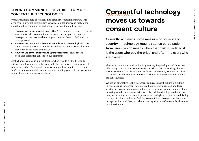#### **STRONG COMMUNITIES GIVE RISE TO MORE CONSENTFUL TECHNOLOGIES**

When attention is paid to relationships, stronger communities result. This is the case in physical communities as well as digital. Users and makers can strengthen their communities and improve consent therein by asking:

- **How can we better protect each other?** For example, is there a technical way to have other community members see and respond to harassing messages, so the person who is targeted does not have to deal with the barrage alone?
- **How can we hold each other accountable as a community?** What are some community-based strategies for addressing non-consensual actions that work on the roots of the issue?
- **How can we better support and uplift each other?** How can we normalize asking for consent on our platform?

Small changes can make a big difference when we add a little friction to pathways used for abusive behaviour, and when we make it easier for people to help each other. For example, new users might have a quieter voice until they've been around awhile, or messages mentioning you could be downvoted by your friends so you won't see them.

## **Consentful technology moves us towards consent culture**

Currently, achieving some measure of privacy and security in technology requires active participation from users, which means when that trust is violated it is the users who pay the price, and often the users who are blamed.

The cost of interacting with technology securely is quite high, and those least able to pay that cost are also those most at risk of harm when things break. Just as we should not blame survivors for sexual violence, we must not place the burden of safety on users in terms of who is responsible and who suffers the consequences.

We see an alternative to this in consent culture. Consent culture is a culture in which asking for consent permeates all our interactions small and large whether it's asking before going in for a hug, checking in about taking a photo, or asking whether a sexual activity feels okay. With technology mediating so many of our daily interactions, it plays an increasingly large part in establishing the type of culture we live in. Building consentful technology is not just about our applications and data; it is about creating a culture of consent for the entire world to share in.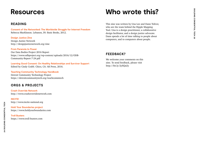# **BUILDING CONSENTFUL TECH BUILDING CONSENTFUL TECH 25** m<br>G

### **Resources**

#### **READING**

**Consent of the Networked: The Worldwide Struggle for Internet Freedom** Rebecca MacKinnon. Lebanon, IN: Basic Books, 2012.

**Design Justice Zine** Design Justice Network http://designjusticenetwork.org/zine

**From Paranoia to Power** Our Data Bodies Project 2016 Report https://www.odbproject.org/wp-content/uploads/2016/12/ODB-Community-Report-7-24.pdf

**Learning Good Consent: On Healthy Relationships and Survivor Support** Edited by Cindy Crabb. Chico, CA: AK Press, 2016.

**Teaching Community Technology Handbook** Detroit Community Technology Project https://detroitcommunitytech.org/teachcommtech

### **ORGS & PROJECTS**

**Crash Override Network** http://www.crashoverridenetwork.com

**INCITE!** http://www.incite-national.org

**Hold Your Boundaries project** https://www.holdyourboundaries.com

**Troll Busters** https://www.troll-busters.com

### **Who wrote this?**

This zine was written by Una Lee and Dann Toliver, who are the team behind the Ripple Mapping Tool. Una is a design practitioner, a collaborative design facilitator, and a design justice advocate. Dann spends a lot of time talking to people about computers, and to computers about people.

### **FEEDBACK?**

We welcome your comments on this zine. To send feedback, please visit http://bit.ly/2yXQaZy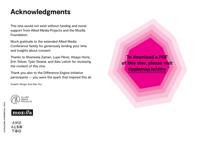### **Acknowledgments**

This zine would not exist without funding and moral support from Allied Media Projects and the Mozilla Foundation.

Much gratitude to the extended Allied Media Conference family for generously lending your time and insights about consent.

Thanks to Shameela Zaman, Lupe Pérez, Hisayo Horie, Erin Toliver, Tyler Sloane, and Alex Leitch for reviewing the content of this zine.

Thank you also to the Difference Engine Initiative participants — you were the spark that inspired this all.

Graphic Design: And Also Too





**26 BUILDING CONSENTFUL TECH**

26 BUILDING CONSENTFUL TECH

**To download a PDF of this zine, please visit ripplemap.io/zine**